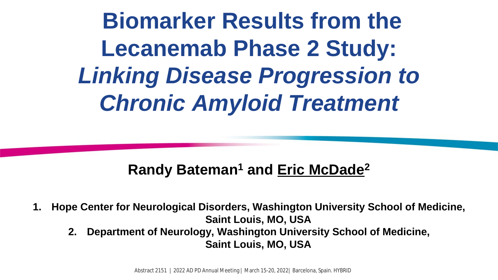**Biomarker Results from the Lecanemab Phase 2 Study:** *Linking Disease Progression to Chronic Amyloid Treatment*

### **Randy Bateman1 and Eric McDade2**

- **1. Hope Center for Neurological Disorders, Washington University School of Medicine, Saint Louis, MO, USA**
	- **2. Department of Neurology, Washington University School of Medicine, Saint Louis, MO, USA**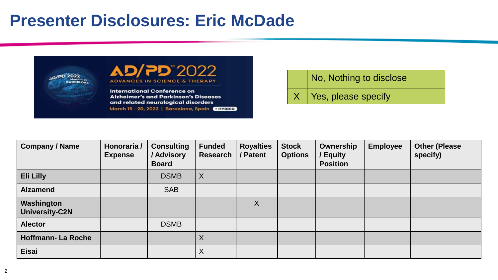### **Presenter Disclosures: Eric McDade**



No, Nothing to disclose

 $X$  Yes, please specify

| <b>Company / Name</b>               | Honoraria /<br><b>Expense</b> | <b>Consulting</b><br>/ Advisory<br><b>Board</b> | <b>Funded</b><br><b>Research</b> | <b>Royalties</b><br>/ Patent | <b>Stock</b><br><b>Options</b> | Ownership<br><b>Equity</b><br><b>Position</b> | <b>Employee</b> | <b>Other (Please</b><br>specify) |
|-------------------------------------|-------------------------------|-------------------------------------------------|----------------------------------|------------------------------|--------------------------------|-----------------------------------------------|-----------------|----------------------------------|
| <b>Eli Lilly</b>                    |                               | <b>DSMB</b>                                     | $\boldsymbol{\mathsf{X}}$        |                              |                                |                                               |                 |                                  |
| <b>Alzamend</b>                     |                               | <b>SAB</b>                                      |                                  |                              |                                |                                               |                 |                                  |
| Washington<br><b>University-C2N</b> |                               |                                                 |                                  | X                            |                                |                                               |                 |                                  |
| <b>Alector</b>                      |                               | <b>DSMB</b>                                     |                                  |                              |                                |                                               |                 |                                  |
| <b>Hoffmann-La Roche</b>            |                               |                                                 | X                                |                              |                                |                                               |                 |                                  |
| <b>Eisai</b>                        |                               |                                                 | X                                |                              |                                |                                               |                 |                                  |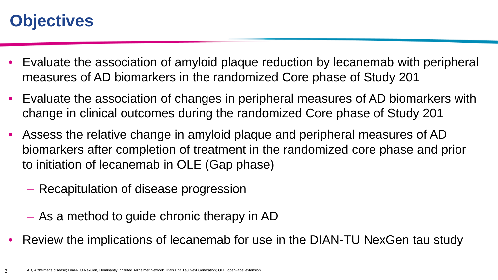## **Objectives**

- Evaluate the association of amyloid plaque reduction by lecanemab with peripheral measures of AD biomarkers in the randomized Core phase of Study 201
- Evaluate the association of changes in peripheral measures of AD biomarkers with change in clinical outcomes during the randomized Core phase of Study 201
- Assess the relative change in amyloid plaque and peripheral measures of AD biomarkers after completion of treatment in the randomized core phase and prior to initiation of lecanemab in OLE (Gap phase)
	- Recapitulation of disease progression
	- As a method to guide chronic therapy in AD
- Review the implications of lecanemab for use in the DIAN-TU NexGen tau study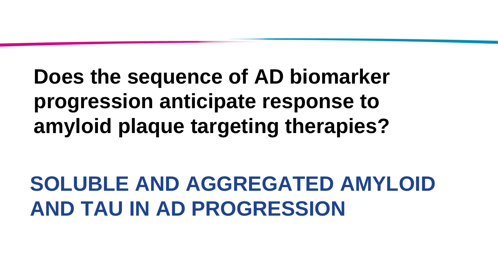# **Does the sequence of AD biomarker progression anticipate response to amyloid plaque targeting therapies?**

**SOLUBLE AND AGGREGATED AMYLOID AND TAU IN AD PROGRESSION**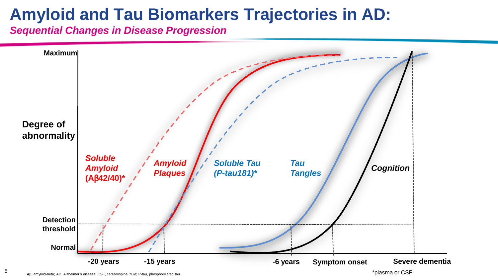## **Amyloid and Tau Biomarkers Trajectories in AD:**

*Sequential Changes in Disease Progression*



5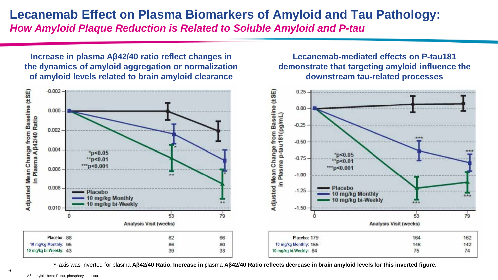### **Lecanemab Effect on Plasma Biomarkers of Amyloid and Tau Pathology:** *How Amyloid Plaque Reduction is Related to Soluble Amyloid and P-tau*

**Increase in plasma Aβ42/40 ratio reflect changes in the dynamics of amyloid aggregation or normalization of amyloid levels related to brain amyloid clearance**

**Lecanemab-mediated effects on P-tau181 demonstrate that targeting amyloid influence the downstream tau-related processes**



Y-axis was inverted for plasma **Aβ42/40 Ratio. Increase in** plasma **Aβ42/40 Ratio reflects decrease in brain amyloid levels for this inverted figure.**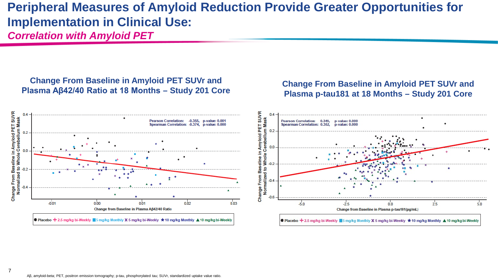### **Peripheral Measures of Amyloid Reduction Provide Greater Opportunities for Implementation in Clinical Use:**  *Correlation with Amyloid PET*

#### **Change From Baseline in Amyloid PET SUVr and Plasma Aβ42/40 Ratio at 18 Months – Study 201 Core Change From Baseline in Amyloid PET SUVr and**







● Placebo + 2.5 mg/kg bi-Weekly ■ 5 mg/kg Monthly X 5 mg/kg bi-Weekly ★ 10 mg/kg Monthly ▲ 10 mg/kg bi-Weekly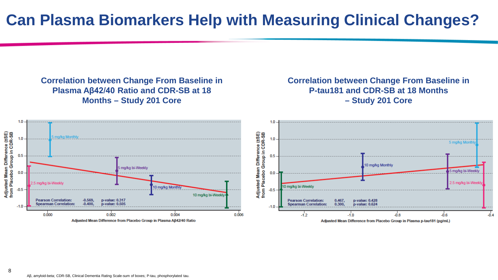**Correlation between Change From Baseline in Plasma Aβ42/40 Ratio and CDR-SB at 18 Months – Study 201 Core** 

#### **Correlation between Change From Baseline in P-tau181 and CDR-SB at 18 Months – Study 201 Core**

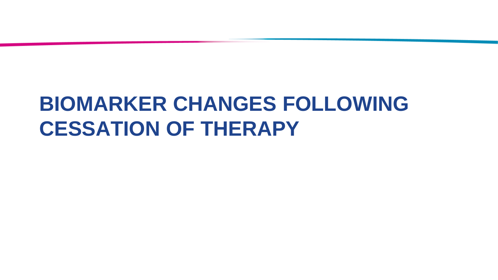# **BIOMARKER CHANGES FOLLOWING CESSATION OF THERAPY**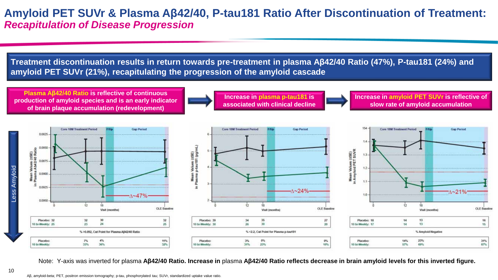### **Amyloid PET SUVr & Plasma Aβ42/40, P-tau181 Ratio After Discontinuation of Treatment:** *Recapitulation of Disease Progression*

**Treatment discontinuation results in return towards pre-treatment in plasma Aβ42/40 Ratio (47%), P-tau181 (24%) and amyloid PET SUVr (21%), recapitulating the progression of the amyloid cascade**

**Plasma Aβ42/40 Ratio is reflective of continuous production of amyloid species and is an early indicator of brain plaque accumulation (redevelopment)**



**associated with clinical decline** 

**Increase in amyloid PET SUVr is reflective of slow rate of amyloid accumulation**







Note: Y-axis was inverted for plasma **Aβ42/40 Ratio. Increase in** plasma **Aβ42/40 Ratio reflects decrease in brain amyloid levels for this inverted figure.**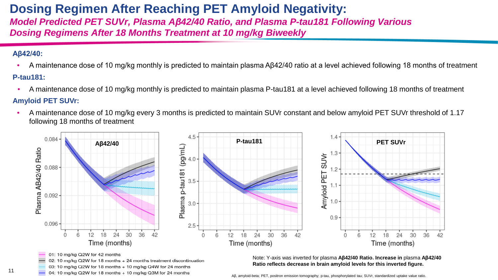### **Dosing Regimen After Reaching PET Amyloid Negativity:**

*Model Predicted PET SUVr, Plasma Aβ42/40 Ratio, and Plasma P-tau181 Following Various Dosing Regimens After 18 Months Treatment at 10 mg/kg Biweekly*

#### **Aβ42/40:**

11

- A maintenance dose of 10 mg/kg monthly is predicted to maintain plasma Aβ42/40 ratio at a level achieved following 18 months of treatment **P-tau181:**
- A maintenance dose of 10 mg/kg monthly is predicted to maintain plasma P-tau181 at a level achieved following 18 months of treatment

#### **Amyloid PET SUVr:**

• A maintenance dose of 10 mg/kg every 3 months is predicted to maintain SUVr constant and below amyloid PET SUVr threshold of 1.17 following 18 months of treatment



- 03: 10 mg/kg Q2W for 18 months + 10 mg/kg Q4W for 24 months
- 04: 10 mg/kg Q2W for 18 months + 10 mg/kg Q3M for 24 months

**Ratio reflects decrease in brain amyloid levels for this inverted figure.**

Aβ, amyloid-beta; PET, positron emission tomography; p-tau, phosphorylated tau; SUVr, standardized uptake value ratio.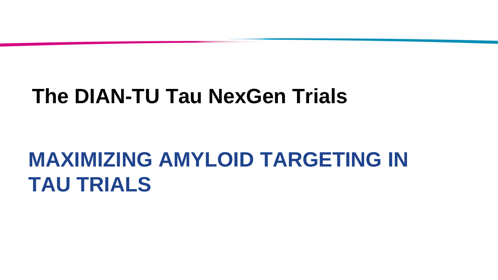## **The DIAN-TU Tau NexGen Trials**

# **MAXIMIZING AMYLOID TARGETING IN TAU TRIALS**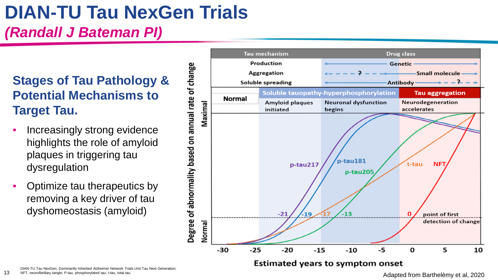# **DIAN-TU Tau NexGen Trials**

*(Randall J Bateman PI)*

### **Stages of Tau Pathology & Potential Mechanisms to Target Tau.**

- Increasingly strong evidence highlights the role of amyloid plaques in triggering tau dysregulation
- Optimize tau therapeutics by removing a key driver of tau dyshomeostasis (amyloid)

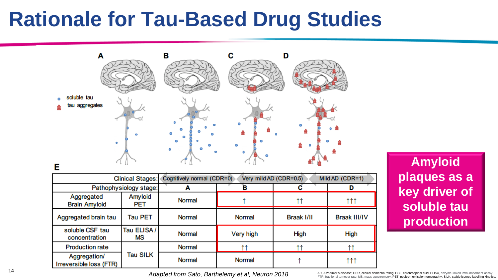## **Rationale for Tau-Based Drug Studies**



**Amyloid plaques as a key driver of soluble tau production**

FTR, fractional turnover rate; MS, mass spectrometry; PET, positron emission tomography; SILK, stable isotope labelling kinetics.

*Adapted from Sato, Barthelemy et al, Neuron 2018*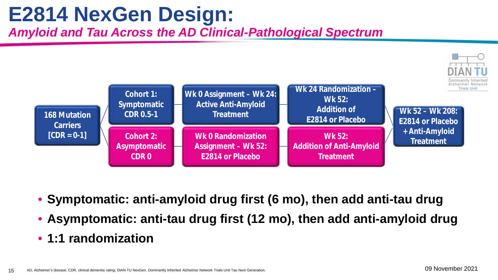# **E2814 NexGen Design:**

*Amyloid and Tau Across the AD Clinical-Pathological Spectrum*



- **Symptomatic: anti-amyloid drug first (6 mo), then add anti-tau drug**
- **Asymptomatic: anti-tau drug first (12 mo), then add anti-amyloid drug**
- **1:1 randomization**